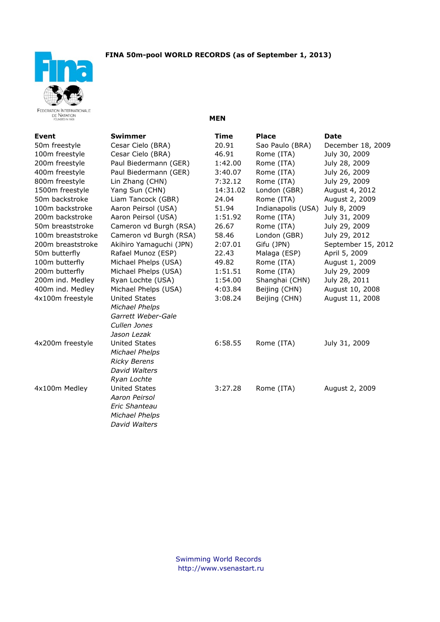



**Event Swimmer Time Place Date** 50m freestyle Cesar Cielo (BRA) 20.91 Sao Paulo (BRA) December 18, 2009 100m freestyle Cesar Cielo (BRA) 46.91 Rome (ITA) July 30, 2009 200m freestyle Paul Biedermann (GER) 1:42.00 Rome (ITA) July 28, 2009 400m freestyle Paul Biedermann (GER) 3:40.07 Rome (ITA) July 26, 2009 800m freestyle Lin Zhang (CHN) 7:32.12 Rome (ITA) July 29, 2009 1500m freestyle Yang Sun (CHN) 14:31.02 London (GBR) August 4, 2012 50m backstroke Liam Tancock (GBR) 24.04 Rome (ITA) August 2, 2009 100m backstroke Aaron Peirsol (USA) 51.94 Indianapolis (USA) July 8, 2009 200m backstroke Aaron Peirsol (USA) 1:51.92 Rome (ITA) July 31, 2009 50m breaststroke Cameron vd Burgh (RSA) 26.67 Rome (ITA) July 29, 2009 100m breaststroke Cameron vd Burgh (RSA) 58.46 London (GBR) July 29, 2012 200m breaststroke Akihiro Yamaguchi (JPN) 2:07.01 Gifu (JPN) September 15, 2012 50m butterfly Rafael Munoz (ESP) 22.43 Malaga (ESP) April 5, 2009 100m butterfly Michael Phelps (USA) 49.82 Rome (ITA) August 1, 2009 200m butterfly Michael Phelps (USA) 1:51.51 Rome (ITA) July 29, 2009 200m ind. Medley Ryan Lochte (USA) 1:54.00 Shanghai (CHN) July 28, 2011 400m ind. Medley Michael Phelps (USA) 4:03.84 Beijing (CHN) August 10, 2008 4x100m freestyle United States 3:08.24 Beijing (CHN) August 11, 2008 *Michael Phelps Garrett Weber-Gale Cullen Jones Jason Lezak* 4x200m freestyle United States 6:58.55 Rome (ITA) July 31, 2009 *Michael Phelps Ricky Berens David Walters Ryan Lochte* 4x100m Medley United States 3:27.28 Rome (ITA) August 2, 2009 *Aaron Peirsol Eric Shanteau Michael Phelps David Walters*

**MEN**